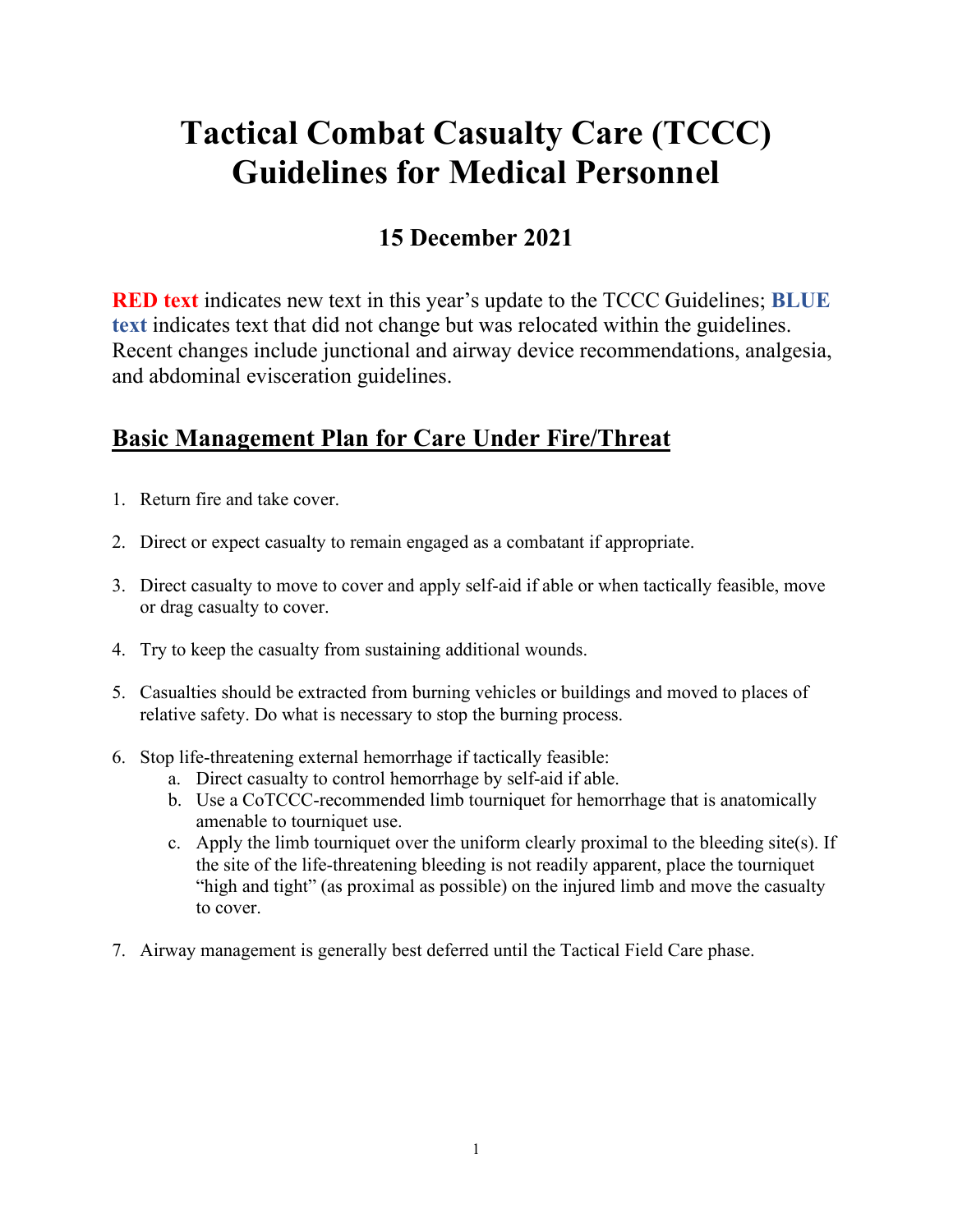# **Tactical Combat Casualty Care (TCCC) Guidelines for Medical Personnel**

# **15 December 2021**

**RED text** indicates new text in this year's update to the TCCC Guidelines; **BLUE text** indicates text that did not change but was relocated within the guidelines. Recent changes include junctional and airway device recommendations, analgesia, and abdominal evisceration guidelines.

# **Basic Management Plan for Care Under Fire/Threat**

- 1. Return fire and take cover.
- 2. Direct or expect casualty to remain engaged as a combatant if appropriate.
- 3. Direct casualty to move to cover and apply self-aid if able or when tactically feasible, move or drag casualty to cover.
- 4. Try to keep the casualty from sustaining additional wounds.
- 5. Casualties should be extracted from burning vehicles or buildings and moved to places of relative safety. Do what is necessary to stop the burning process.
- 6. Stop life-threatening external hemorrhage if tactically feasible:
	- a. Direct casualty to control hemorrhage by self-aid if able.
	- b. Use a CoTCCC-recommended limb tourniquet for hemorrhage that is anatomically amenable to tourniquet use.
	- c. Apply the limb tourniquet over the uniform clearly proximal to the bleeding site(s). If the site of the life-threatening bleeding is not readily apparent, place the tourniquet "high and tight" (as proximal as possible) on the injured limb and move the casualty to cover.
- 7. Airway management is generally best deferred until the Tactical Field Care phase.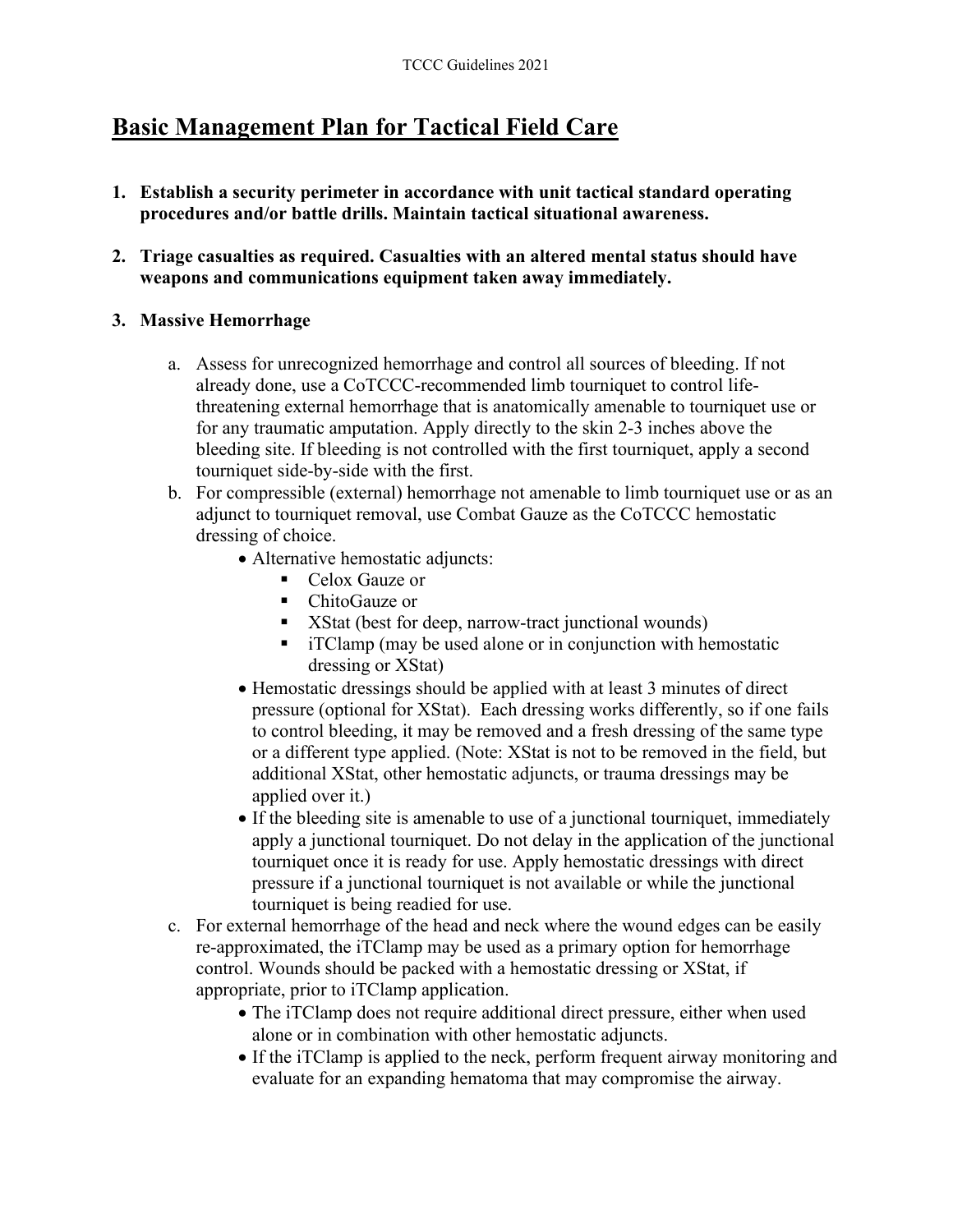# **Basic Management Plan for Tactical Field Care**

- **1. Establish a security perimeter in accordance with unit tactical standard operating procedures and/or battle drills. Maintain tactical situational awareness.**
- **2. Triage casualties as required. Casualties with an altered mental status should have weapons and communications equipment taken away immediately.**

#### **3. Massive Hemorrhage**

- a. Assess for unrecognized hemorrhage and control all sources of bleeding. If not already done, use a CoTCCC-recommended limb tourniquet to control lifethreatening external hemorrhage that is anatomically amenable to tourniquet use or for any traumatic amputation. Apply directly to the skin 2-3 inches above the bleeding site. If bleeding is not controlled with the first tourniquet, apply a second tourniquet side-by-side with the first.
- b. For compressible (external) hemorrhage not amenable to limb tourniquet use or as an adjunct to tourniquet removal, use Combat Gauze as the CoTCCC hemostatic dressing of choice.
	- Alternative hemostatic adjuncts:
		- Celox Gauze or
		- ChitoGauze or
		- XStat (best for deep, narrow-tract junctional wounds)
		- iTClamp (may be used alone or in conjunction with hemostatic dressing or XStat)
	- Hemostatic dressings should be applied with at least 3 minutes of direct pressure (optional for XStat). Each dressing works differently, so if one fails to control bleeding, it may be removed and a fresh dressing of the same type or a different type applied. (Note: XStat is not to be removed in the field, but additional XStat, other hemostatic adjuncts, or trauma dressings may be applied over it.)
	- If the bleeding site is amenable to use of a junctional tourniquet, immediately apply a junctional tourniquet. Do not delay in the application of the junctional tourniquet once it is ready for use. Apply hemostatic dressings with direct pressure if a junctional tourniquet is not available or while the junctional tourniquet is being readied for use.
- c. For external hemorrhage of the head and neck where the wound edges can be easily re-approximated, the iTClamp may be used as a primary option for hemorrhage control. Wounds should be packed with a hemostatic dressing or XStat, if appropriate, prior to iTClamp application.
	- The iTClamp does not require additional direct pressure, either when used alone or in combination with other hemostatic adjuncts.
	- If the iTClamp is applied to the neck, perform frequent airway monitoring and evaluate for an expanding hematoma that may compromise the airway.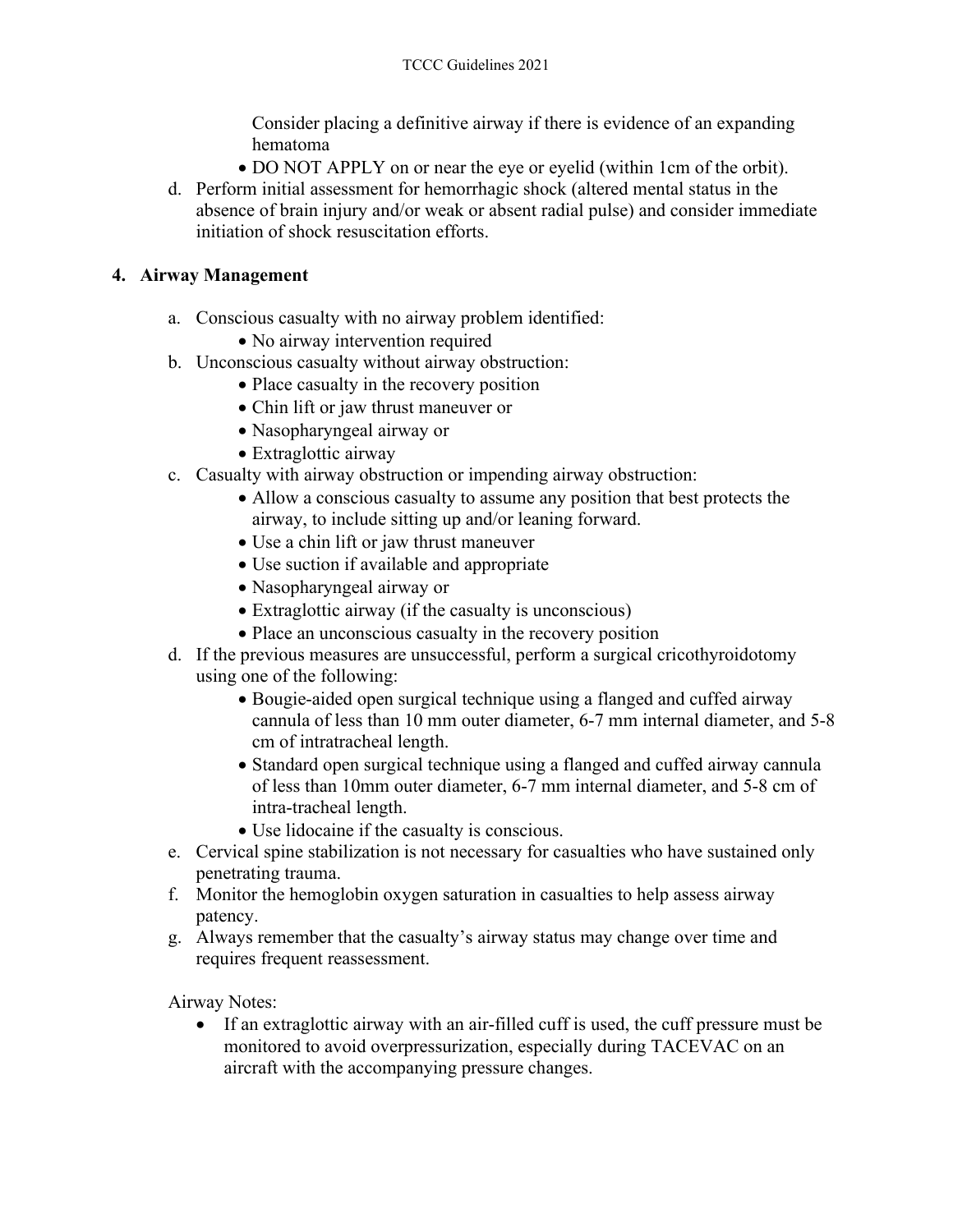Consider placing a definitive airway if there is evidence of an expanding hematoma

- DO NOT APPLY on or near the eye or eyelid (within 1cm of the orbit).
- d. Perform initial assessment for hemorrhagic shock (altered mental status in the absence of brain injury and/or weak or absent radial pulse) and consider immediate initiation of shock resuscitation efforts.

#### **4. Airway Management**

- a. Conscious casualty with no airway problem identified:
	- No airway intervention required
- b. Unconscious casualty without airway obstruction:
	- Place casualty in the recovery position
	- Chin lift or jaw thrust maneuver or
	- Nasopharyngeal airway or
	- Extraglottic airway
- c. Casualty with airway obstruction or impending airway obstruction:
	- Allow a conscious casualty to assume any position that best protects the airway, to include sitting up and/or leaning forward.
	- Use a chin lift or jaw thrust maneuver
	- Use suction if available and appropriate
	- Nasopharyngeal airway or
	- Extraglottic airway (if the casualty is unconscious)
	- Place an unconscious casualty in the recovery position
- d. If the previous measures are unsuccessful, perform a surgical cricothyroidotomy using one of the following:
	- Bougie-aided open surgical technique using a flanged and cuffed airway cannula of less than 10 mm outer diameter, 6-7 mm internal diameter, and 5-8 cm of intratracheal length.
	- Standard open surgical technique using a flanged and cuffed airway cannula of less than 10mm outer diameter, 6-7 mm internal diameter, and 5-8 cm of intra-tracheal length.
	- Use lidocaine if the casualty is conscious.
- e. Cervical spine stabilization is not necessary for casualties who have sustained only penetrating trauma.
- f. Monitor the hemoglobin oxygen saturation in casualties to help assess airway patency.
- g. Always remember that the casualty's airway status may change over time and requires frequent reassessment.

Airway Notes:

• If an extraglottic airway with an air-filled cuff is used, the cuff pressure must be monitored to avoid overpressurization, especially during TACEVAC on an aircraft with the accompanying pressure changes.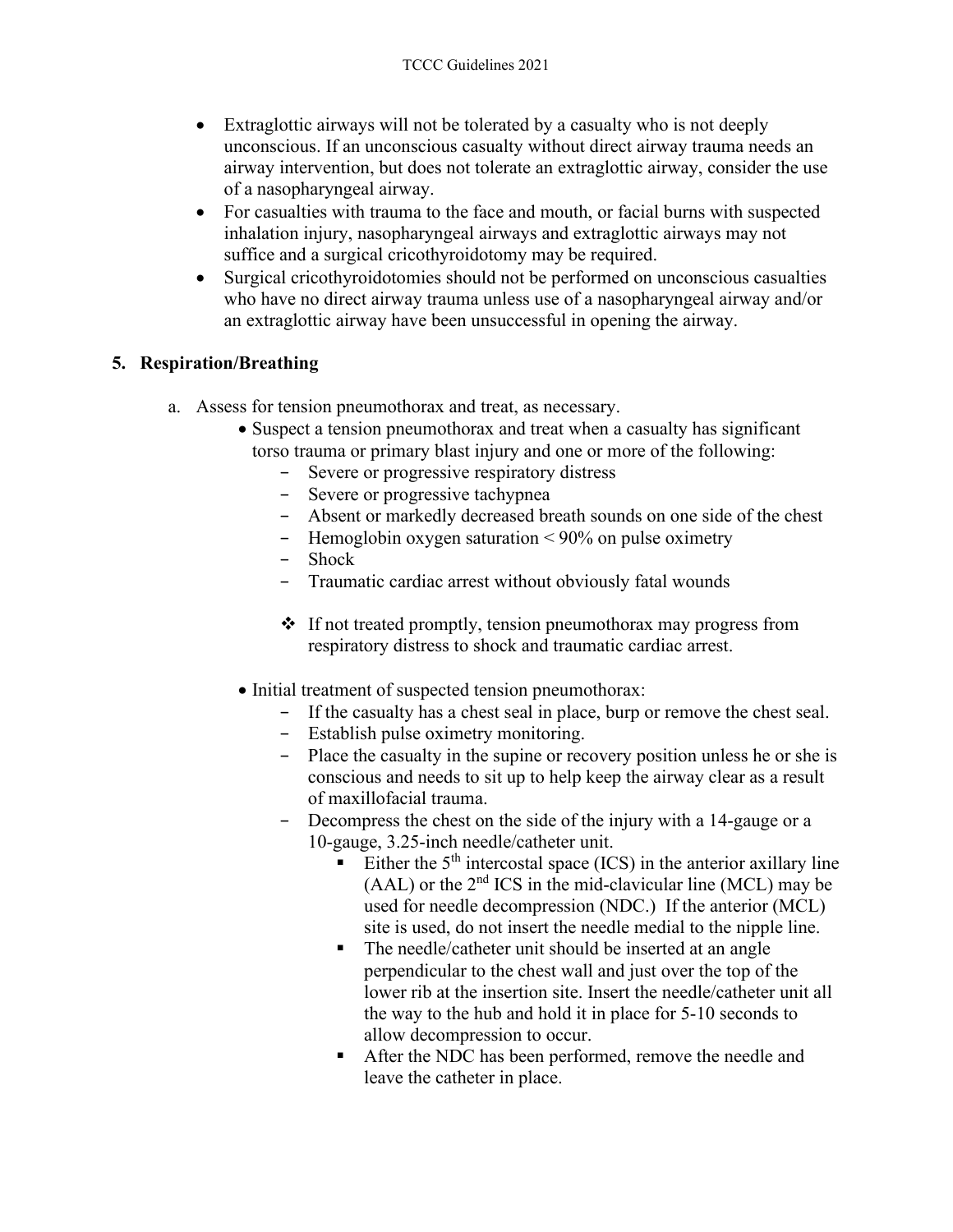- Extraglottic airways will not be tolerated by a casualty who is not deeply unconscious. If an unconscious casualty without direct airway trauma needs an airway intervention, but does not tolerate an extraglottic airway, consider the use of a nasopharyngeal airway.
- For casualties with trauma to the face and mouth, or facial burns with suspected inhalation injury, nasopharyngeal airways and extraglottic airways may not suffice and a surgical cricothyroidotomy may be required.
- Surgical cricothyroidotomies should not be performed on unconscious casualties who have no direct airway trauma unless use of a nasopharyngeal airway and/or an extraglottic airway have been unsuccessful in opening the airway.

#### **5. Respiration/Breathing**

- a. Assess for tension pneumothorax and treat, as necessary.
	- Suspect a tension pneumothorax and treat when a casualty has significant torso trauma or primary blast injury and one or more of the following:
		- − Severe or progressive respiratory distress
		- − Severe or progressive tachypnea
		- − Absent or markedly decreased breath sounds on one side of the chest
		- − Hemoglobin oxygen saturation < 90% on pulse oximetry
		- − Shock
		- − Traumatic cardiac arrest without obviously fatal wounds
		- $\cdot \cdot$  If not treated promptly, tension pneumothorax may progress from respiratory distress to shock and traumatic cardiac arrest.
	- Initial treatment of suspected tension pneumothorax:
		- − If the casualty has a chest seal in place, burp or remove the chest seal.
		- − Establish pulse oximetry monitoring.
		- − Place the casualty in the supine or recovery position unless he or she is conscious and needs to sit up to help keep the airway clear as a result of maxillofacial trauma.
		- − Decompress the chest on the side of the injury with a 14-gauge or a 10-gauge, 3.25-inch needle/catheter unit.
			- Either the  $5<sup>th</sup>$  intercostal space (ICS) in the anterior axillary line  $(AAL)$  or the  $2<sup>nd</sup> ICS$  in the mid-clavicular line  $(MCL)$  may be used for needle decompression (NDC.) If the anterior (MCL) site is used, do not insert the needle medial to the nipple line.
			- The needle/catheter unit should be inserted at an angle perpendicular to the chest wall and just over the top of the lower rib at the insertion site. Insert the needle/catheter unit all the way to the hub and hold it in place for 5-10 seconds to allow decompression to occur.
			- After the NDC has been performed, remove the needle and leave the catheter in place.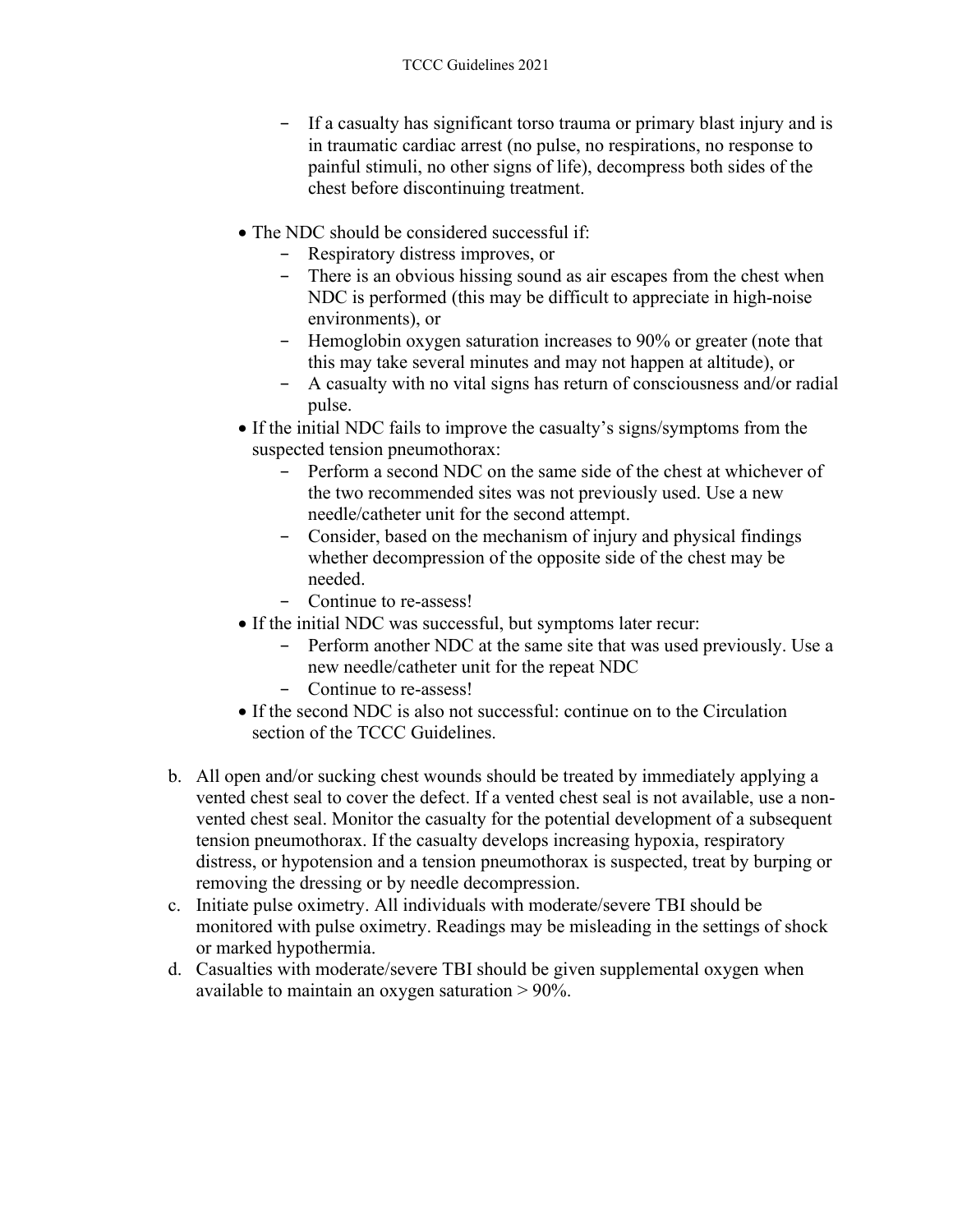- − If a casualty has significant torso trauma or primary blast injury and is in traumatic cardiac arrest (no pulse, no respirations, no response to painful stimuli, no other signs of life), decompress both sides of the chest before discontinuing treatment.
- The NDC should be considered successful if:
	- − Respiratory distress improves, or
	- − There is an obvious hissing sound as air escapes from the chest when NDC is performed (this may be difficult to appreciate in high-noise environments), or
	- − Hemoglobin oxygen saturation increases to 90% or greater (note that this may take several minutes and may not happen at altitude), or
	- − A casualty with no vital signs has return of consciousness and/or radial pulse.
- If the initial NDC fails to improve the casualty's signs/symptoms from the suspected tension pneumothorax:
	- − Perform a second NDC on the same side of the chest at whichever of the two recommended sites was not previously used. Use a new needle/catheter unit for the second attempt.
	- − Consider, based on the mechanism of injury and physical findings whether decompression of the opposite side of the chest may be needed.
	- − Continue to re-assess!
- If the initial NDC was successful, but symptoms later recur:
	- − Perform another NDC at the same site that was used previously. Use a new needle/catheter unit for the repeat NDC
	- − Continue to re-assess!
- If the second NDC is also not successful: continue on to the Circulation section of the TCCC Guidelines.
- b. All open and/or sucking chest wounds should be treated by immediately applying a vented chest seal to cover the defect. If a vented chest seal is not available, use a nonvented chest seal. Monitor the casualty for the potential development of a subsequent tension pneumothorax. If the casualty develops increasing hypoxia, respiratory distress, or hypotension and a tension pneumothorax is suspected, treat by burping or removing the dressing or by needle decompression.
- c. Initiate pulse oximetry. All individuals with moderate/severe TBI should be monitored with pulse oximetry. Readings may be misleading in the settings of shock or marked hypothermia.
- d. Casualties with moderate/severe TBI should be given supplemental oxygen when available to maintain an oxygen saturation > 90%.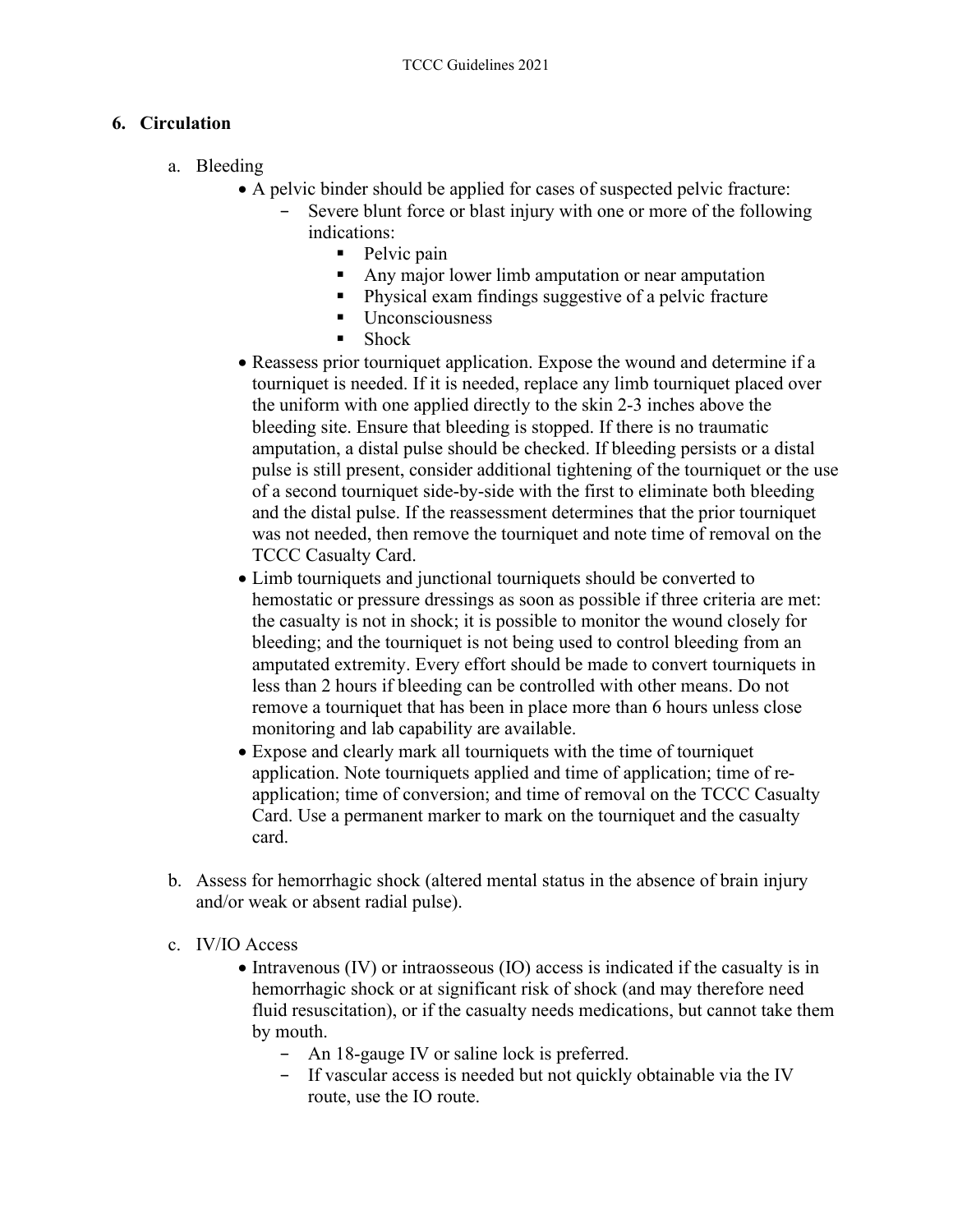#### **6. Circulation**

- a. Bleeding
	- A pelvic binder should be applied for cases of suspected pelvic fracture:
		- Severe blunt force or blast injury with one or more of the following indications:
			- Pelvic pain
			- Any major lower limb amputation or near amputation
			- Physical exam findings suggestive of a pelvic fracture
			- **Unconsciousness**
			- Shock
	- Reassess prior tourniquet application. Expose the wound and determine if a tourniquet is needed. If it is needed, replace any limb tourniquet placed over the uniform with one applied directly to the skin 2-3 inches above the bleeding site. Ensure that bleeding is stopped. If there is no traumatic amputation, a distal pulse should be checked. If bleeding persists or a distal pulse is still present, consider additional tightening of the tourniquet or the use of a second tourniquet side-by-side with the first to eliminate both bleeding and the distal pulse. If the reassessment determines that the prior tourniquet was not needed, then remove the tourniquet and note time of removal on the TCCC Casualty Card.
	- Limb tourniquets and junctional tourniquets should be converted to hemostatic or pressure dressings as soon as possible if three criteria are met: the casualty is not in shock; it is possible to monitor the wound closely for bleeding; and the tourniquet is not being used to control bleeding from an amputated extremity. Every effort should be made to convert tourniquets in less than 2 hours if bleeding can be controlled with other means. Do not remove a tourniquet that has been in place more than 6 hours unless close monitoring and lab capability are available.
	- Expose and clearly mark all tourniquets with the time of tourniquet application. Note tourniquets applied and time of application; time of reapplication; time of conversion; and time of removal on the TCCC Casualty Card. Use a permanent marker to mark on the tourniquet and the casualty card.
- b. Assess for hemorrhagic shock (altered mental status in the absence of brain injury and/or weak or absent radial pulse).
- c. IV/IO Access
	- Intravenous (IV) or intraosseous (IO) access is indicated if the casualty is in hemorrhagic shock or at significant risk of shock (and may therefore need fluid resuscitation), or if the casualty needs medications, but cannot take them by mouth.
		- − An 18-gauge IV or saline lock is preferred.
		- − If vascular access is needed but not quickly obtainable via the IV route, use the IO route.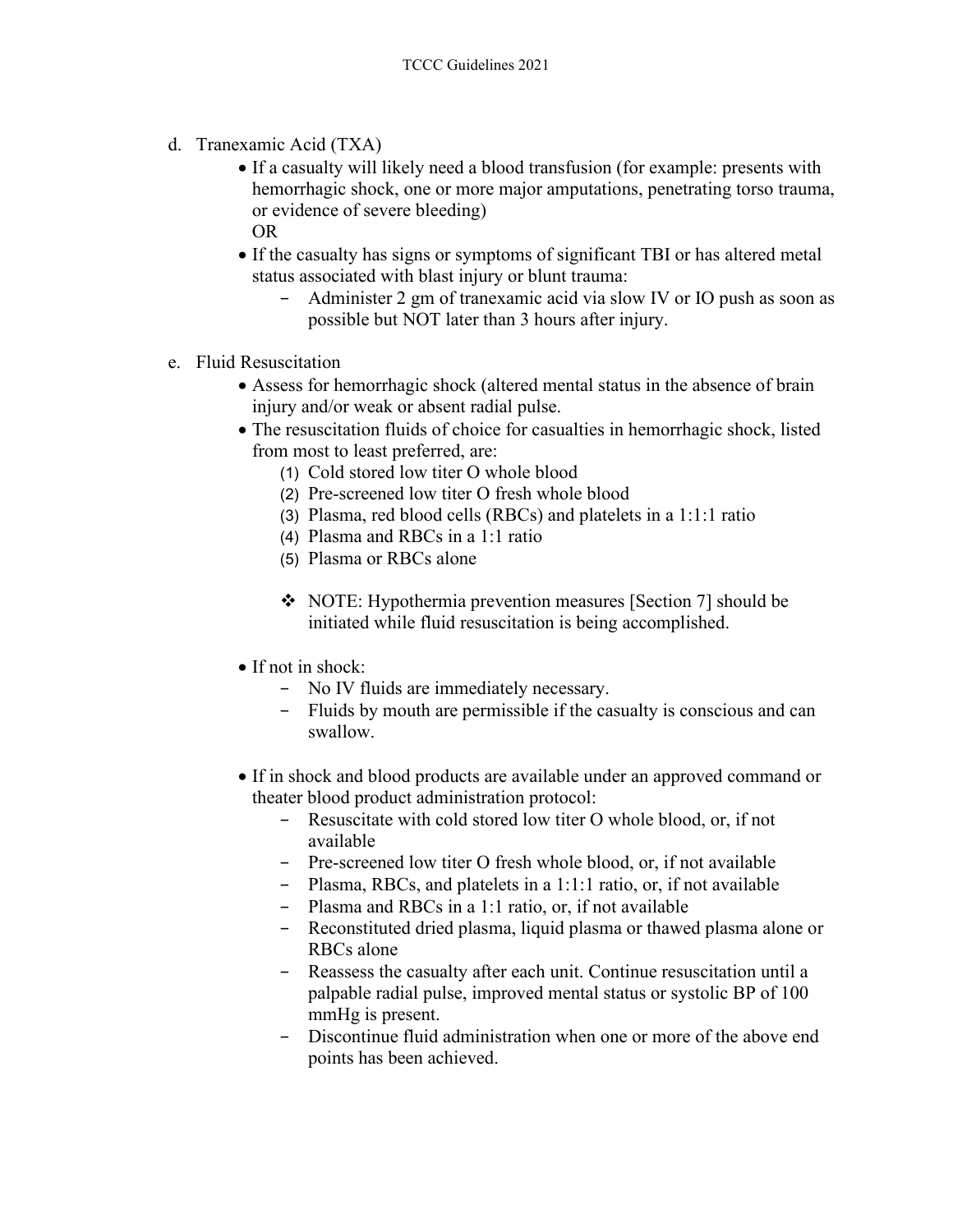- d. Tranexamic Acid (TXA)
	- If a casualty will likely need a blood transfusion (for example: presents with hemorrhagic shock, one or more major amputations, penetrating torso trauma, or evidence of severe bleeding) OR
	- If the casualty has signs or symptoms of significant TBI or has altered metal status associated with blast injury or blunt trauma:
		- − Administer 2 gm of tranexamic acid via slow IV or IO push as soon as possible but NOT later than 3 hours after injury.
- e. Fluid Resuscitation
	- Assess for hemorrhagic shock (altered mental status in the absence of brain injury and/or weak or absent radial pulse.
	- The resuscitation fluids of choice for casualties in hemorrhagic shock, listed from most to least preferred, are:
		- (1) Cold stored low titer O whole blood
		- (2) Pre-screened low titer O fresh whole blood
		- (3) Plasma, red blood cells (RBCs) and platelets in a 1:1:1 ratio
		- (4) Plasma and RBCs in a 1:1 ratio
		- (5) Plasma or RBCs alone
		- NOTE: Hypothermia prevention measures [Section 7] should be initiated while fluid resuscitation is being accomplished.
	- If not in shock:
		- − No IV fluids are immediately necessary.
		- − Fluids by mouth are permissible if the casualty is conscious and can swallow.
	- If in shock and blood products are available under an approved command or theater blood product administration protocol:
		- − Resuscitate with cold stored low titer O whole blood, or, if not available
		- − Pre-screened low titer O fresh whole blood, or, if not available
		- − Plasma, RBCs, and platelets in a 1:1:1 ratio, or, if not available
		- − Plasma and RBCs in a 1:1 ratio, or, if not available
		- − Reconstituted dried plasma, liquid plasma or thawed plasma alone or RBCs alone
		- − Reassess the casualty after each unit. Continue resuscitation until a palpable radial pulse, improved mental status or systolic BP of 100 mmHg is present.
		- Discontinue fluid administration when one or more of the above end points has been achieved.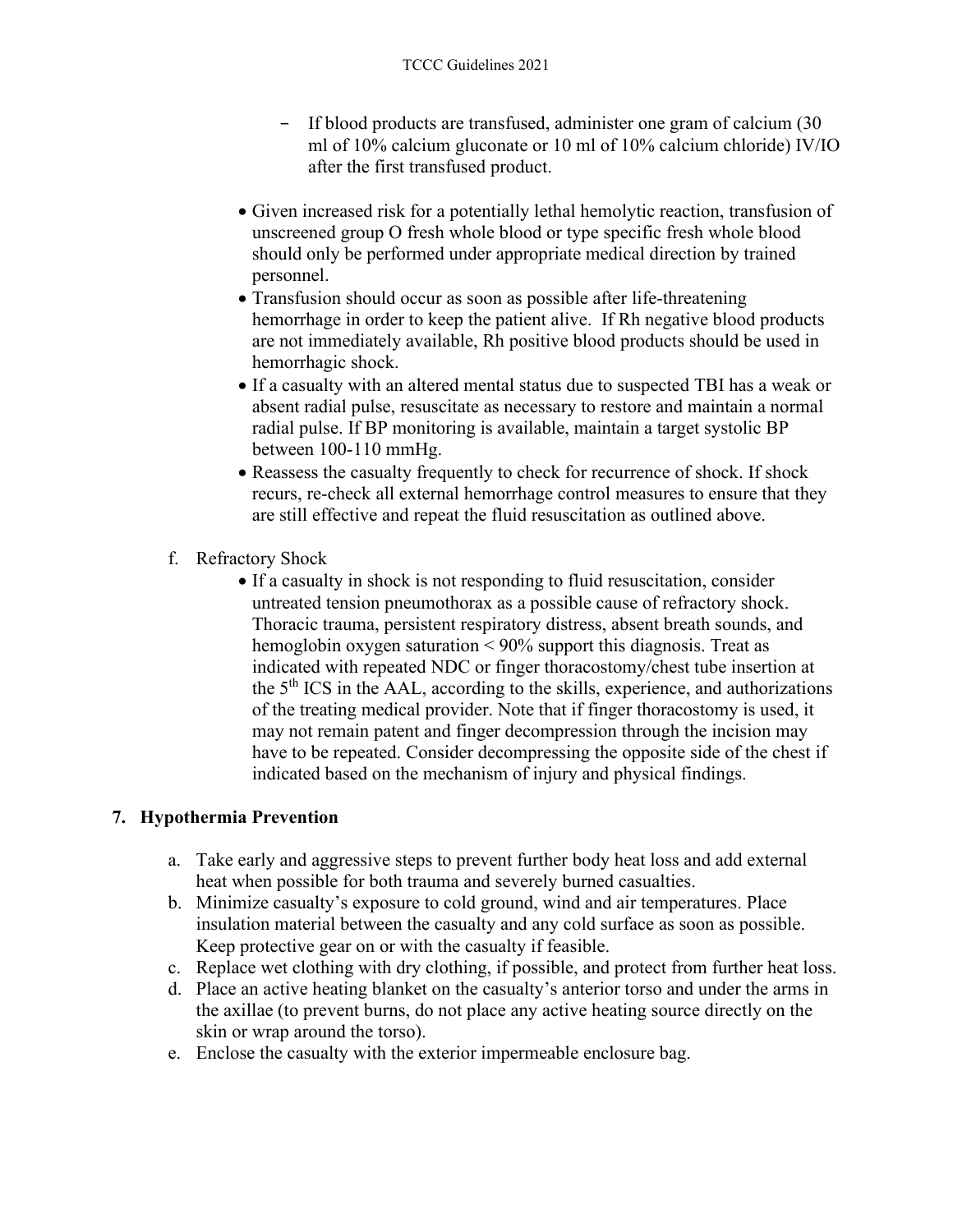- − If blood products are transfused, administer one gram of calcium (30 ml of 10% calcium gluconate or 10 ml of 10% calcium chloride) IV/IO after the first transfused product.
- Given increased risk for a potentially lethal hemolytic reaction, transfusion of unscreened group O fresh whole blood or type specific fresh whole blood should only be performed under appropriate medical direction by trained personnel.
- Transfusion should occur as soon as possible after life-threatening hemorrhage in order to keep the patient alive. If Rh negative blood products are not immediately available, Rh positive blood products should be used in hemorrhagic shock.
- If a casualty with an altered mental status due to suspected TBI has a weak or absent radial pulse, resuscitate as necessary to restore and maintain a normal radial pulse. If BP monitoring is available, maintain a target systolic BP between 100-110 mmHg.
- Reassess the casualty frequently to check for recurrence of shock. If shock recurs, re-check all external hemorrhage control measures to ensure that they are still effective and repeat the fluid resuscitation as outlined above.
- f. Refractory Shock
	- If a casualty in shock is not responding to fluid resuscitation, consider untreated tension pneumothorax as a possible cause of refractory shock. Thoracic trauma, persistent respiratory distress, absent breath sounds, and hemoglobin oxygen saturation < 90% support this diagnosis. Treat as indicated with repeated NDC or finger thoracostomy/chest tube insertion at the  $5<sup>th</sup> ICS$  in the AAL, according to the skills, experience, and authorizations of the treating medical provider. Note that if finger thoracostomy is used, it may not remain patent and finger decompression through the incision may have to be repeated. Consider decompressing the opposite side of the chest if indicated based on the mechanism of injury and physical findings.

### **7. Hypothermia Prevention**

- a. Take early and aggressive steps to prevent further body heat loss and add external heat when possible for both trauma and severely burned casualties.
- b. Minimize casualty's exposure to cold ground, wind and air temperatures. Place insulation material between the casualty and any cold surface as soon as possible. Keep protective gear on or with the casualty if feasible.
- c. Replace wet clothing with dry clothing, if possible, and protect from further heat loss.
- d. Place an active heating blanket on the casualty's anterior torso and under the arms in the axillae (to prevent burns, do not place any active heating source directly on the skin or wrap around the torso).
- e. Enclose the casualty with the exterior impermeable enclosure bag.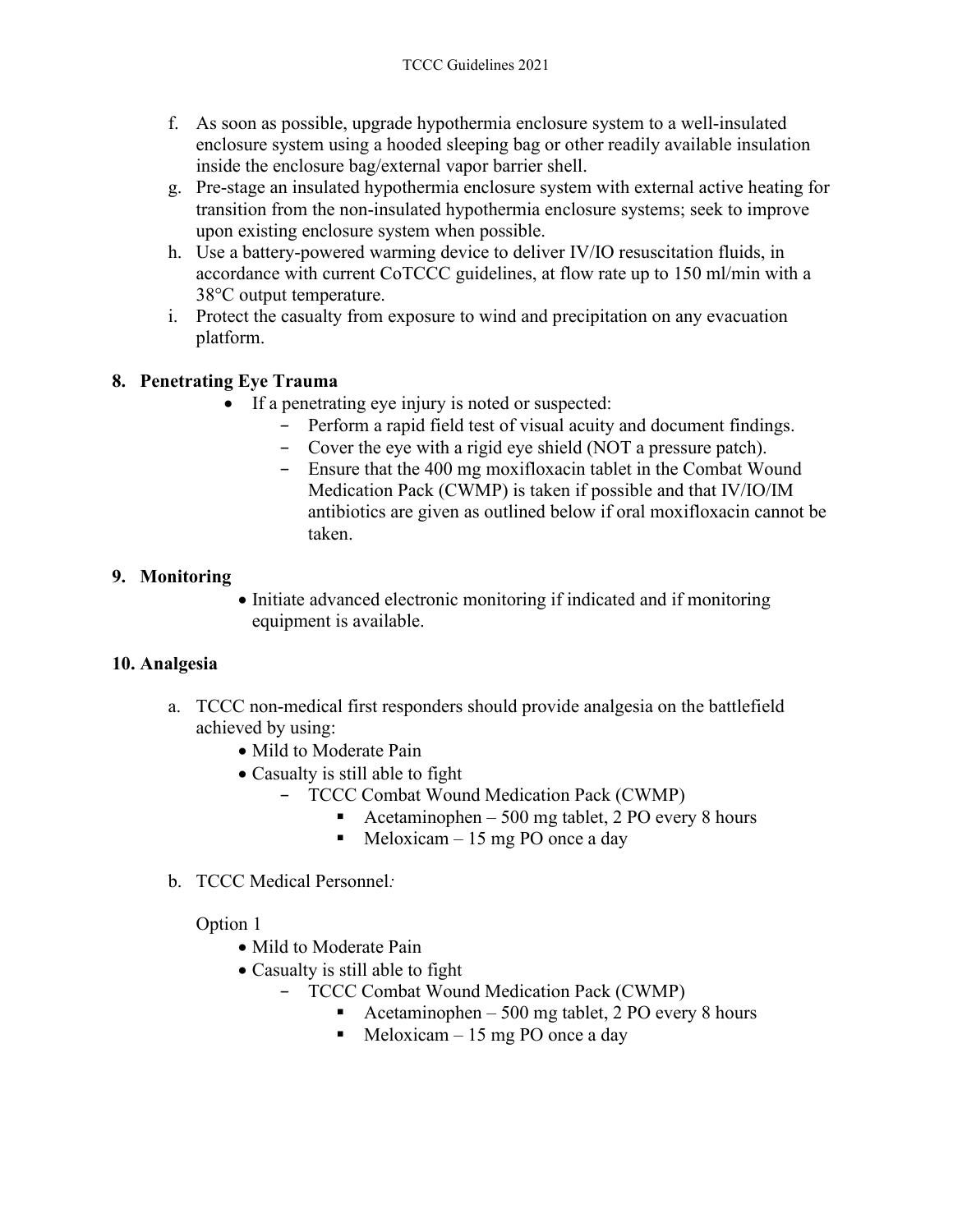- f. As soon as possible, upgrade hypothermia enclosure system to a well-insulated enclosure system using a hooded sleeping bag or other readily available insulation inside the enclosure bag/external vapor barrier shell.
- g. Pre-stage an insulated hypothermia enclosure system with external active heating for transition from the non-insulated hypothermia enclosure systems; seek to improve upon existing enclosure system when possible.
- h. Use a battery-powered warming device to deliver IV/IO resuscitation fluids, in accordance with current CoTCCC guidelines, at flow rate up to 150 ml/min with a 38°C output temperature.
- i. Protect the casualty from exposure to wind and precipitation on any evacuation platform.

### **8. Penetrating Eye Trauma**

- If a penetrating eye injury is noted or suspected:
	- − Perform a rapid field test of visual acuity and document findings.
	- − Cover the eye with a rigid eye shield (NOT a pressure patch).
	- − Ensure that the 400 mg moxifloxacin tablet in the Combat Wound Medication Pack (CWMP) is taken if possible and that IV/IO/IM antibiotics are given as outlined below if oral moxifloxacin cannot be taken.

### **9. Monitoring**

• Initiate advanced electronic monitoring if indicated and if monitoring equipment is available.

### **10. Analgesia**

- a. TCCC non-medical first responders should provide analgesia on the battlefield achieved by using:
	- Mild to Moderate Pain
	- Casualty is still able to fight
		- − TCCC Combat Wound Medication Pack (CWMP)
			- Acetaminophen 500 mg tablet, 2 PO every 8 hours
			- $\blacksquare$  Meloxicam 15 mg PO once a day
- b. TCCC Medical Personnel*:*

Option 1

- Mild to Moderate Pain
- Casualty is still able to fight
	- − TCCC Combat Wound Medication Pack (CWMP)
		- Acetaminophen 500 mg tablet, 2 PO every 8 hours
		- $\blacksquare$  Meloxicam 15 mg PO once a day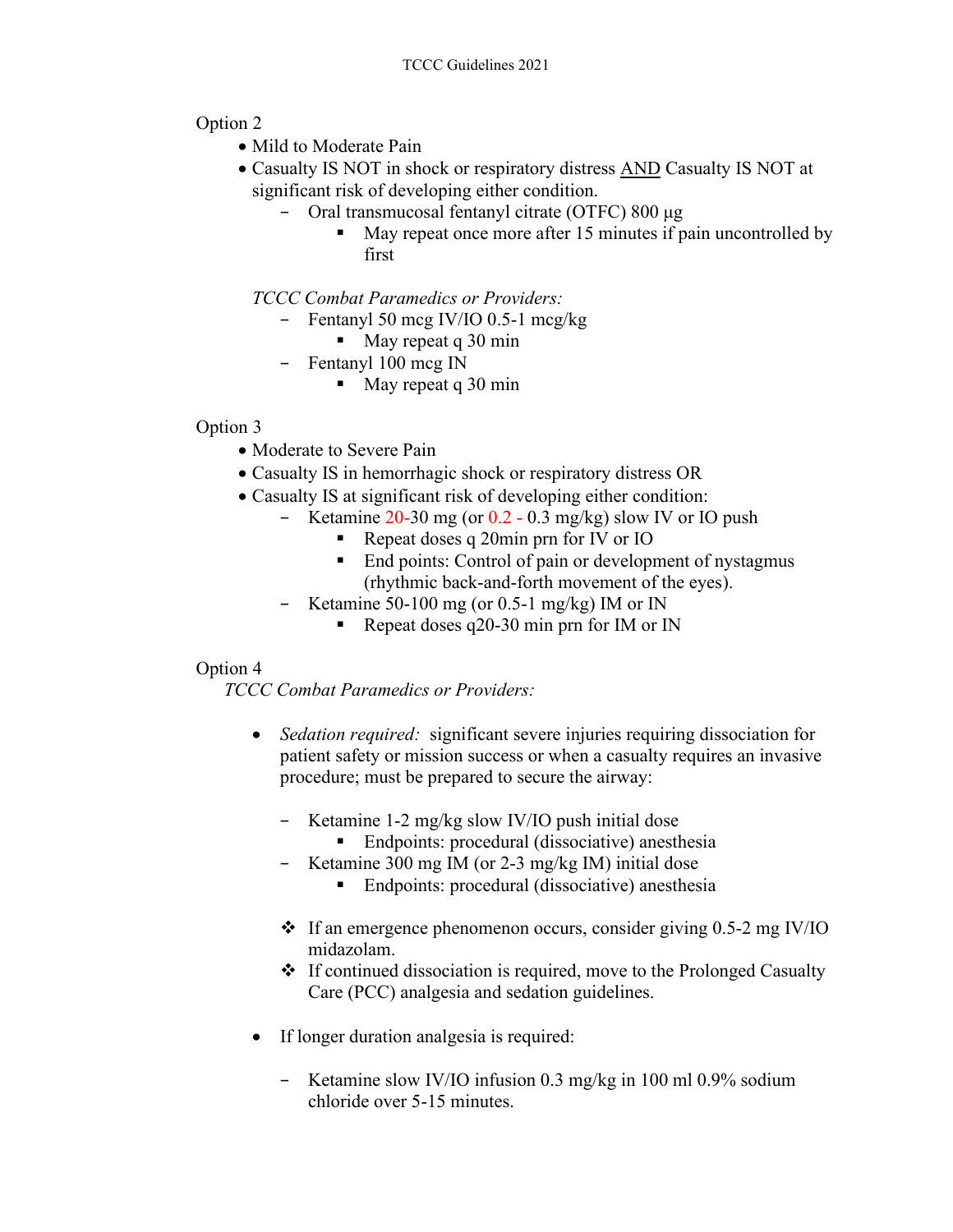### Option 2

- Mild to Moderate Pain
- Casualty IS NOT in shock or respiratory distress **AND** Casualty IS NOT at significant risk of developing either condition.
	- − Oral transmucosal fentanyl citrate (OTFC) 800 μg
		- May repeat once more after 15 minutes if pain uncontrolled by first

*TCCC Combat Paramedics or Providers:*

- − Fentanyl 50 mcg IV/IO 0.5-1 mcg/kg
	- $\blacksquare$  May repeat q 30 min
- − Fentanyl 100 mcg IN
	- $\blacksquare$  May repeat q 30 min

#### Option 3

- Moderate to Severe Pain
- Casualty IS in hemorrhagic shock or respiratory distress OR
- Casualty IS at significant risk of developing either condition:
	- − Ketamine 20-30 mg (or 0.2 0.3 mg/kg) slow IV or IO push
		- Repeat doses q 20min prn for IV or IO
		- End points: Control of pain or development of nystagmus (rhythmic back-and-forth movement of the eyes).
	- Ketamine 50-100 mg (or 0.5-1 mg/kg) IM or IN
		- Repeat doses q20-30 min prn for IM or IN

### Option 4

*TCCC Combat Paramedics or Providers:*

- *Sedation required:* significant severe injuries requiring dissociation for patient safety or mission success or when a casualty requires an invasive procedure; must be prepared to secure the airway:
	- − Ketamine 1-2 mg/kg slow IV/IO push initial dose
		- Endpoints: procedural (dissociative) anesthesia
	- − Ketamine 300 mg IM (or 2-3 mg/kg IM) initial dose
		- Endpoints: procedural (dissociative) anesthesia
	- $\div$  If an emergence phenomenon occurs, consider giving 0.5-2 mg IV/IO midazolam.
	- $\triangleleft$  If continued dissociation is required, move to the Prolonged Casualty Care (PCC) analgesia and sedation guidelines.
- If longer duration analgesia is required:
	- − Ketamine slow IV/IO infusion 0.3 mg/kg in 100 ml 0.9% sodium chloride over 5-15 minutes.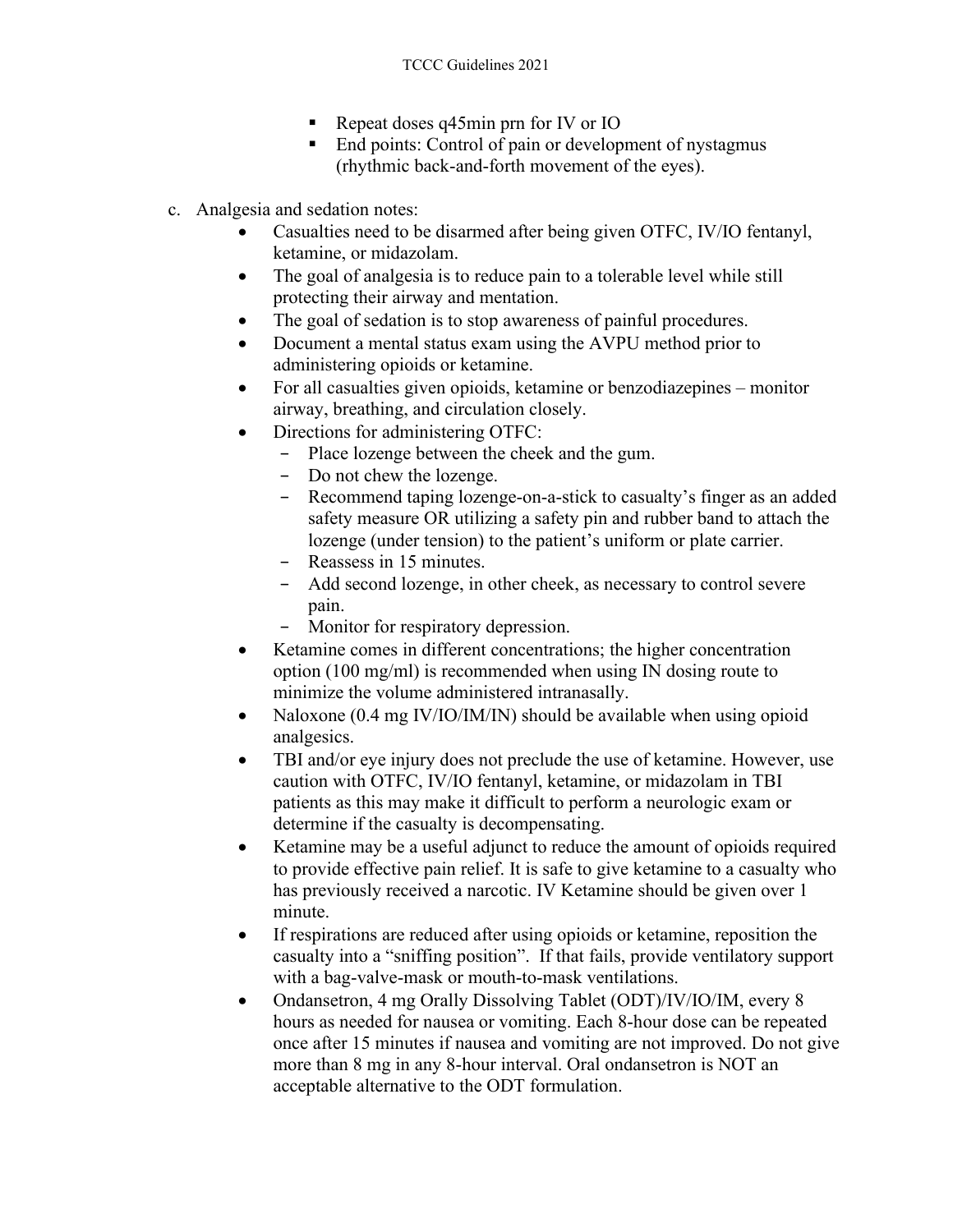- Repeat doses q45min prn for IV or IO
- End points: Control of pain or development of nystagmus (rhythmic back-and-forth movement of the eyes).
- c. Analgesia and sedation notes:
	- Casualties need to be disarmed after being given OTFC, IV/IO fentanyl, ketamine, or midazolam.
	- The goal of analgesia is to reduce pain to a tolerable level while still protecting their airway and mentation.
	- The goal of sedation is to stop awareness of painful procedures.
	- Document a mental status exam using the AVPU method prior to administering opioids or ketamine.
	- For all casualties given opioids, ketamine or benzodiazepines monitor airway, breathing, and circulation closely.
	- Directions for administering OTFC:
		- − Place lozenge between the cheek and the gum.
		- − Do not chew the lozenge.
		- − Recommend taping lozenge-on-a-stick to casualty's finger as an added safety measure OR utilizing a safety pin and rubber band to attach the lozenge (under tension) to the patient's uniform or plate carrier.
		- − Reassess in 15 minutes.
		- − Add second lozenge, in other cheek, as necessary to control severe pain.
		- − Monitor for respiratory depression.
	- Ketamine comes in different concentrations; the higher concentration option (100 mg/ml) is recommended when using IN dosing route to minimize the volume administered intranasally.
	- Naloxone (0.4 mg IV/IO/IM/IN) should be available when using opioid analgesics.
	- TBI and/or eye injury does not preclude the use of ketamine. However, use caution with OTFC, IV/IO fentanyl, ketamine, or midazolam in TBI patients as this may make it difficult to perform a neurologic exam or determine if the casualty is decompensating.
	- Ketamine may be a useful adjunct to reduce the amount of opioids required to provide effective pain relief. It is safe to give ketamine to a casualty who has previously received a narcotic. IV Ketamine should be given over 1 minute.
	- If respirations are reduced after using opioids or ketamine, reposition the casualty into a "sniffing position". If that fails, provide ventilatory support with a bag-valve-mask or mouth-to-mask ventilations.
	- Ondansetron, 4 mg Orally Dissolving Tablet (ODT)/IV/IO/IM, every 8 hours as needed for nausea or vomiting. Each 8-hour dose can be repeated once after 15 minutes if nausea and vomiting are not improved. Do not give more than 8 mg in any 8-hour interval. Oral ondansetron is NOT an acceptable alternative to the ODT formulation.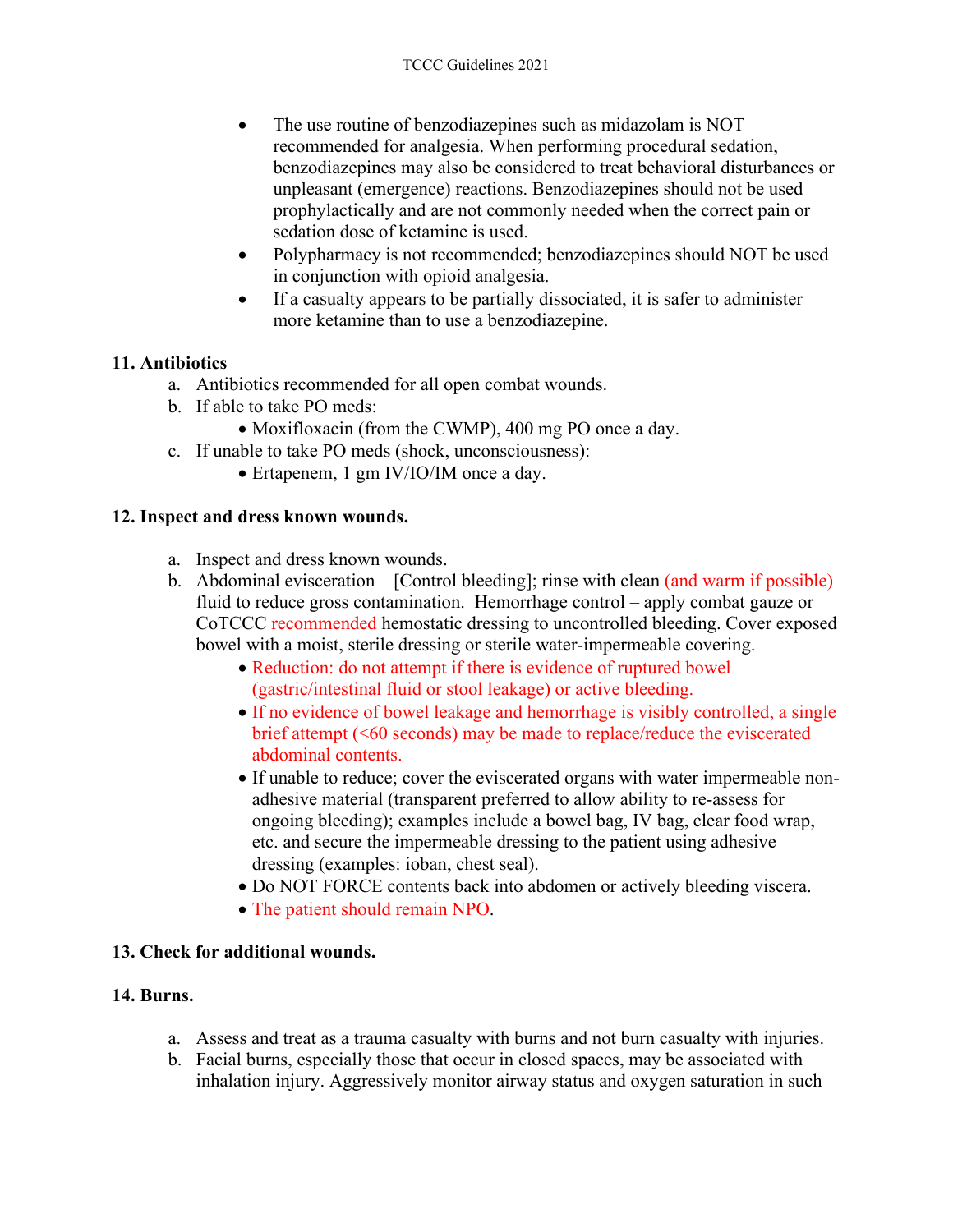- The use routine of benzodiazepines such as midazolam is NOT recommended for analgesia. When performing procedural sedation, benzodiazepines may also be considered to treat behavioral disturbances or unpleasant (emergence) reactions. Benzodiazepines should not be used prophylactically and are not commonly needed when the correct pain or sedation dose of ketamine is used.
- Polypharmacy is not recommended; benzodiazepines should NOT be used in conjunction with opioid analgesia.
- If a casualty appears to be partially dissociated, it is safer to administer more ketamine than to use a benzodiazepine.

#### **11. Antibiotics**

- a. Antibiotics recommended for all open combat wounds.
- b. If able to take PO meds:
	- Moxifloxacin (from the CWMP), 400 mg PO once a day.
- c. If unable to take PO meds (shock, unconsciousness):
	- Ertapenem, 1 gm IV/IO/IM once a day.

#### **12. Inspect and dress known wounds.**

- a. Inspect and dress known wounds.
- b. Abdominal evisceration [Control bleeding]; rinse with clean (and warm if possible) fluid to reduce gross contamination. Hemorrhage control – apply combat gauze or CoTCCC recommended hemostatic dressing to uncontrolled bleeding. Cover exposed bowel with a moist, sterile dressing or sterile water-impermeable covering.
	- Reduction: do not attempt if there is evidence of ruptured bowel (gastric/intestinal fluid or stool leakage) or active bleeding.
	- If no evidence of bowel leakage and hemorrhage is visibly controlled, a single brief attempt (<60 seconds) may be made to replace/reduce the eviscerated abdominal contents.
	- If unable to reduce; cover the eviscerated organs with water impermeable nonadhesive material (transparent preferred to allow ability to re-assess for ongoing bleeding); examples include a bowel bag, IV bag, clear food wrap, etc. and secure the impermeable dressing to the patient using adhesive dressing (examples: ioban, chest seal).
	- Do NOT FORCE contents back into abdomen or actively bleeding viscera.
	- The patient should remain NPO.

#### **13. Check for additional wounds.**

#### **14. Burns.**

- a. Assess and treat as a trauma casualty with burns and not burn casualty with injuries.
- b. Facial burns, especially those that occur in closed spaces, may be associated with inhalation injury. Aggressively monitor airway status and oxygen saturation in such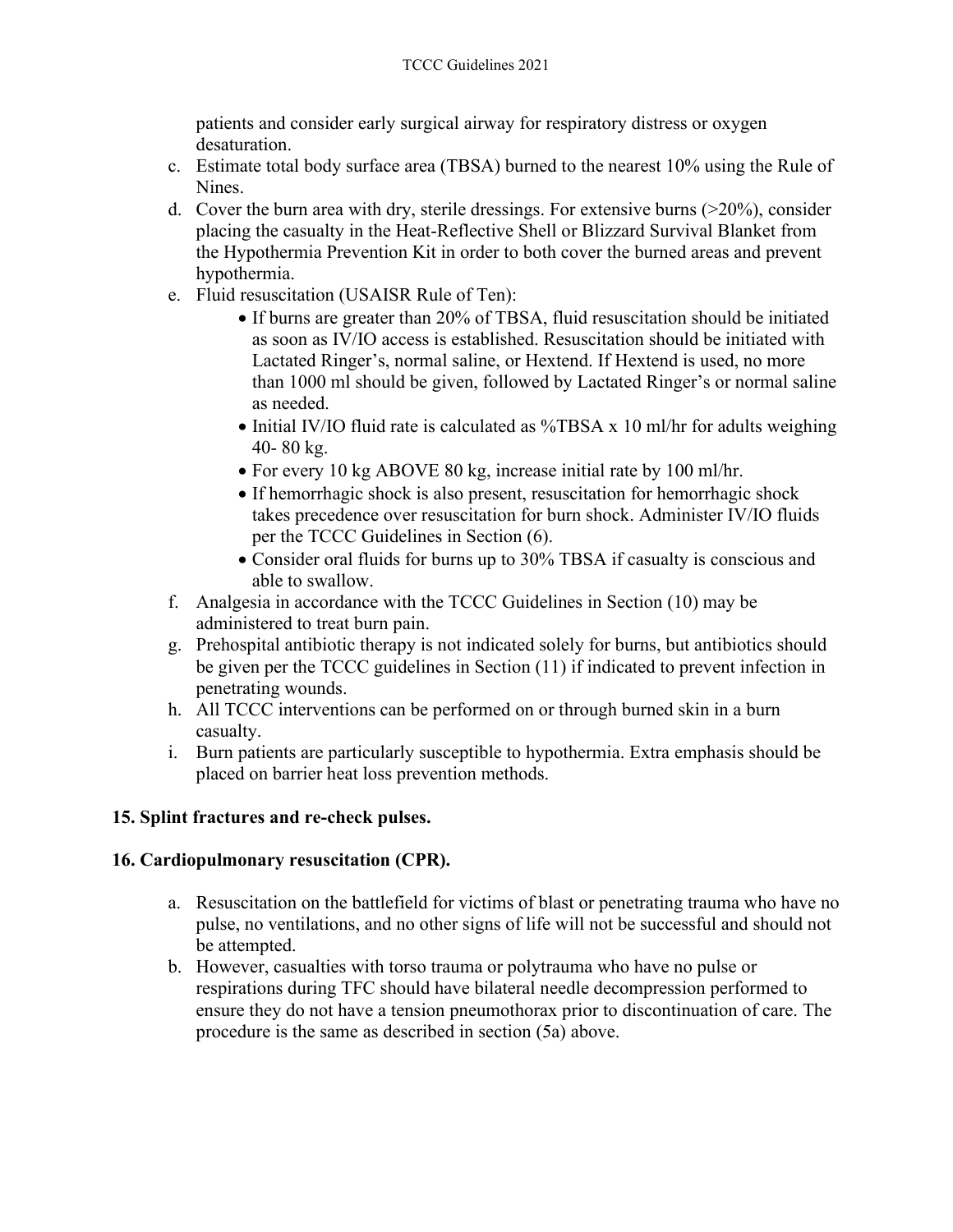patients and consider early surgical airway for respiratory distress or oxygen desaturation.

- c. Estimate total body surface area (TBSA) burned to the nearest 10% using the Rule of Nines.
- d. Cover the burn area with dry, sterile dressings. For extensive burns  $(20\%)$ , consider placing the casualty in the Heat-Reflective Shell or Blizzard Survival Blanket from the Hypothermia Prevention Kit in order to both cover the burned areas and prevent hypothermia.
- e. Fluid resuscitation (USAISR Rule of Ten):
	- If burns are greater than 20% of TBSA, fluid resuscitation should be initiated as soon as IV/IO access is established. Resuscitation should be initiated with Lactated Ringer's, normal saline, or Hextend. If Hextend is used, no more than 1000 ml should be given, followed by Lactated Ringer's or normal saline as needed.
	- Initial IV/IO fluid rate is calculated as %TBSA x 10 ml/hr for adults weighing 40- 80 kg.
	- For every 10 kg ABOVE 80 kg, increase initial rate by 100 ml/hr.
	- If hemorrhagic shock is also present, resuscitation for hemorrhagic shock takes precedence over resuscitation for burn shock. Administer IV/IO fluids per the TCCC Guidelines in Section (6).
	- Consider oral fluids for burns up to 30% TBSA if casualty is conscious and able to swallow.
- f. Analgesia in accordance with the TCCC Guidelines in Section (10) may be administered to treat burn pain.
- g. Prehospital antibiotic therapy is not indicated solely for burns, but antibiotics should be given per the TCCC guidelines in Section (11) if indicated to prevent infection in penetrating wounds.
- h. All TCCC interventions can be performed on or through burned skin in a burn casualty.
- i. Burn patients are particularly susceptible to hypothermia. Extra emphasis should be placed on barrier heat loss prevention methods.

#### **15. Splint fractures and re-check pulses.**

#### **16. Cardiopulmonary resuscitation (CPR).**

- a. Resuscitation on the battlefield for victims of blast or penetrating trauma who have no pulse, no ventilations, and no other signs of life will not be successful and should not be attempted.
- b. However, casualties with torso trauma or polytrauma who have no pulse or respirations during TFC should have bilateral needle decompression performed to ensure they do not have a tension pneumothorax prior to discontinuation of care. The procedure is the same as described in section (5a) above.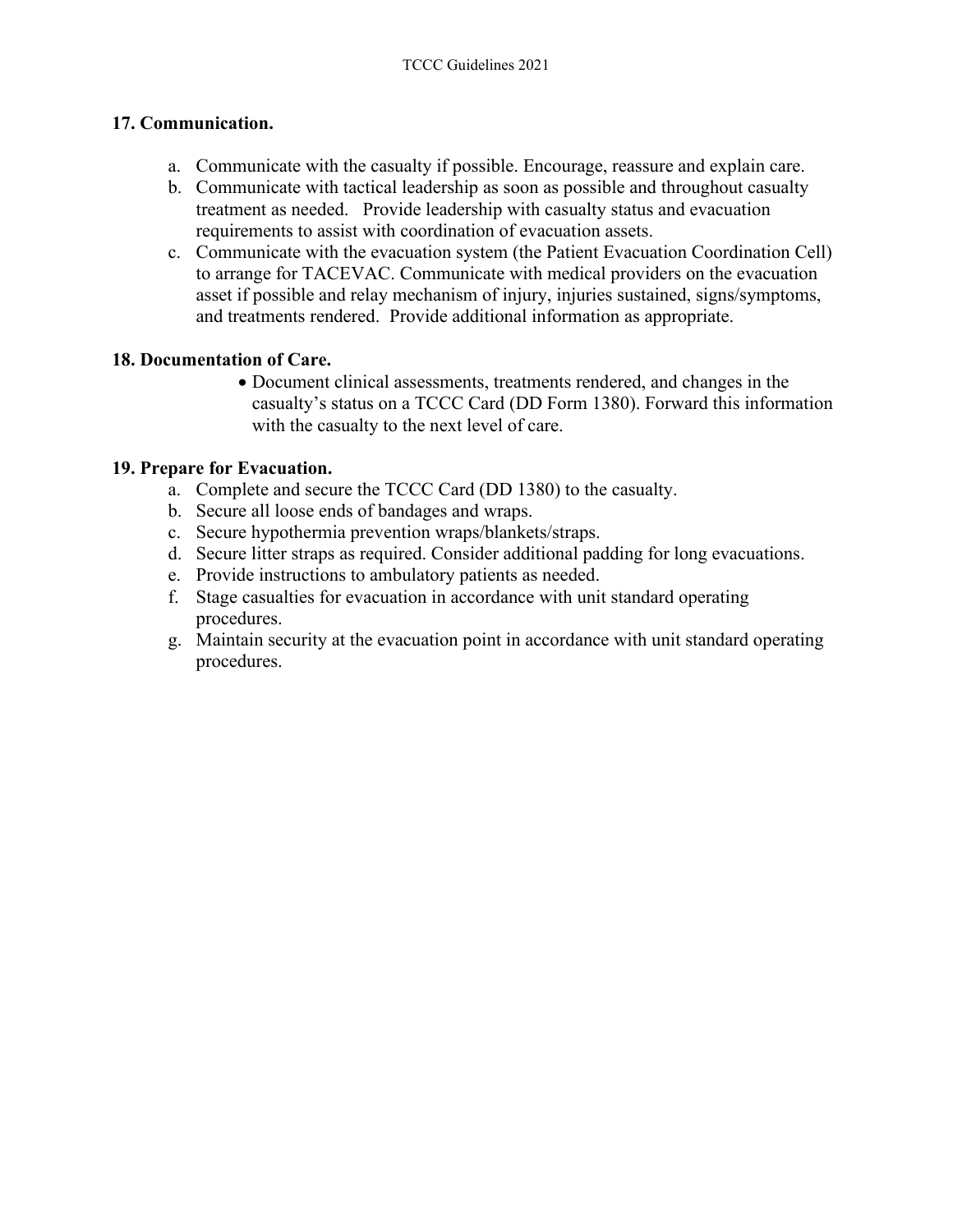#### **17. Communication.**

- a. Communicate with the casualty if possible. Encourage, reassure and explain care.
- b. Communicate with tactical leadership as soon as possible and throughout casualty treatment as needed. Provide leadership with casualty status and evacuation requirements to assist with coordination of evacuation assets.
- c. Communicate with the evacuation system (the Patient Evacuation Coordination Cell) to arrange for TACEVAC. Communicate with medical providers on the evacuation asset if possible and relay mechanism of injury, injuries sustained, signs/symptoms, and treatments rendered. Provide additional information as appropriate.

#### **18. Documentation of Care.**

• Document clinical assessments, treatments rendered, and changes in the casualty's status on a TCCC Card (DD Form 1380). Forward this information with the casualty to the next level of care.

#### **19. Prepare for Evacuation.**

- a. Complete and secure the TCCC Card (DD 1380) to the casualty.
- b. Secure all loose ends of bandages and wraps.
- c. Secure hypothermia prevention wraps/blankets/straps.
- d. Secure litter straps as required. Consider additional padding for long evacuations.
- e. Provide instructions to ambulatory patients as needed.
- f. Stage casualties for evacuation in accordance with unit standard operating procedures.
- g. Maintain security at the evacuation point in accordance with unit standard operating procedures.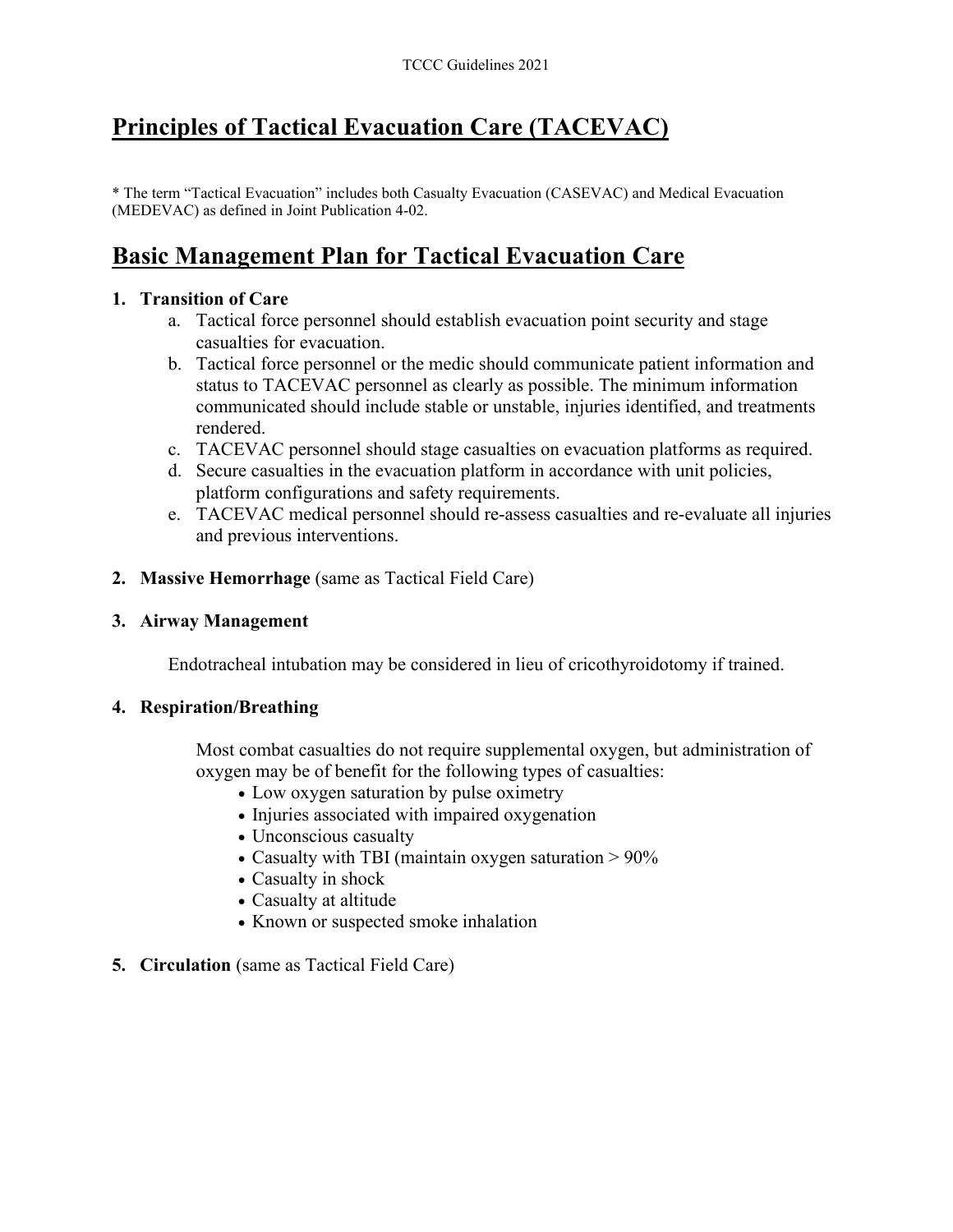# **Principles of Tactical Evacuation Care (TACEVAC)**

\* The term "Tactical Evacuation" includes both Casualty Evacuation (CASEVAC) and Medical Evacuation (MEDEVAC) as defined in Joint Publication 4-02.

# **Basic Management Plan for Tactical Evacuation Care**

#### **1. Transition of Care**

- a. Tactical force personnel should establish evacuation point security and stage casualties for evacuation.
- b. Tactical force personnel or the medic should communicate patient information and status to TACEVAC personnel as clearly as possible. The minimum information communicated should include stable or unstable, injuries identified, and treatments rendered.
- c. TACEVAC personnel should stage casualties on evacuation platforms as required.
- d. Secure casualties in the evacuation platform in accordance with unit policies, platform configurations and safety requirements.
- e. TACEVAC medical personnel should re-assess casualties and re-evaluate all injuries and previous interventions.
- **2. Massive Hemorrhage** (same as Tactical Field Care)
- **3. Airway Management**

Endotracheal intubation may be considered in lieu of cricothyroidotomy if trained.

#### **4. Respiration/Breathing**

Most combat casualties do not require supplemental oxygen, but administration of oxygen may be of benefit for the following types of casualties:

- Low oxygen saturation by pulse oximetry
- Injuries associated with impaired oxygenation
- Unconscious casualty
- Casualty with TBI (maintain oxygen saturation > 90%
- Casualty in shock
- Casualty at altitude
- Known or suspected smoke inhalation
- **5. Circulation** (same as Tactical Field Care)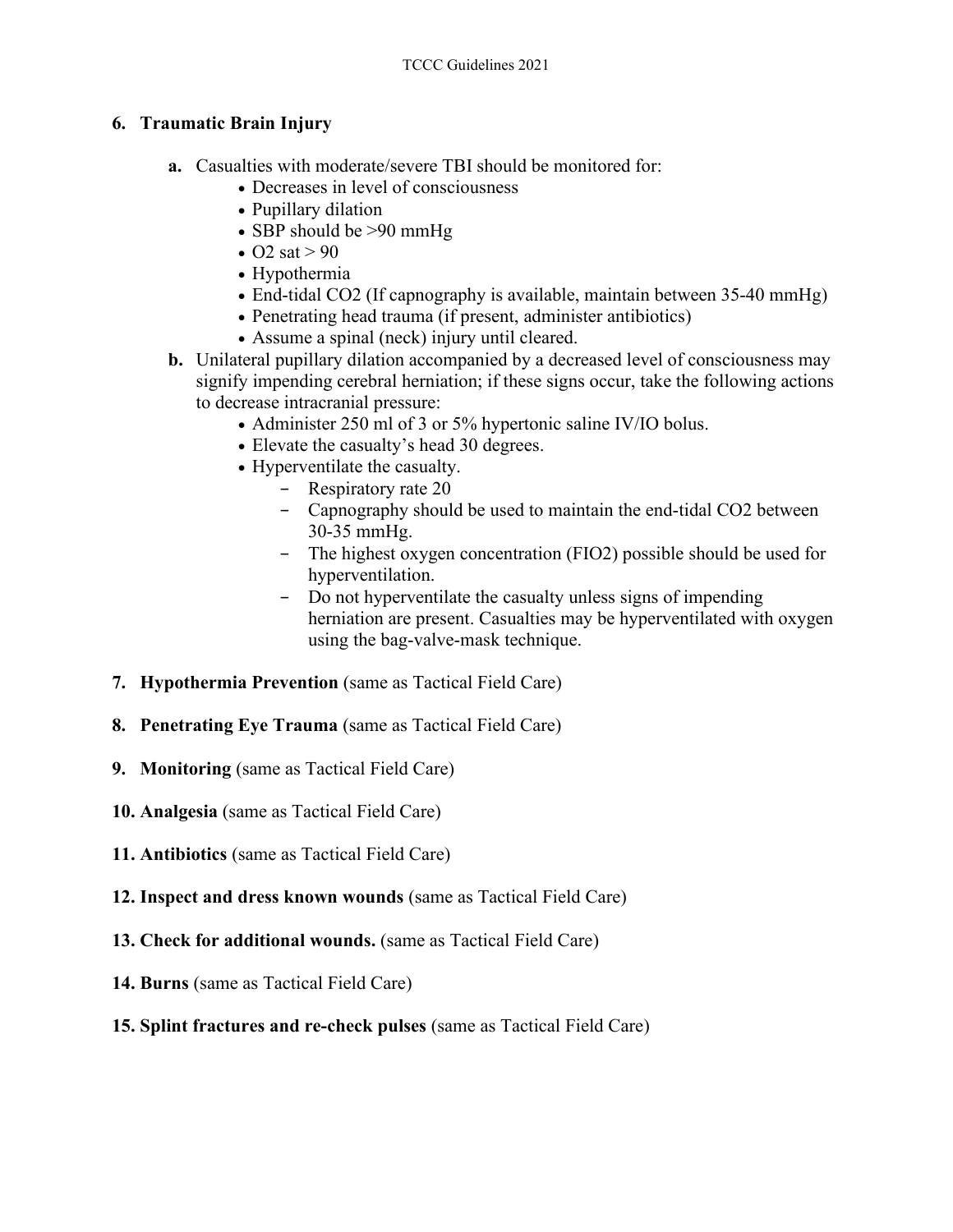#### **6. Traumatic Brain Injury**

- **a.** Casualties with moderate/severe TBI should be monitored for:
	- Decreases in level of consciousness
	- Pupillary dilation
	- SBP should be >90 mmHg
	- O2 sat  $> 90$
	- Hypothermia
	- End-tidal CO2 (If capnography is available, maintain between 35-40 mmHg)
	- Penetrating head trauma (if present, administer antibiotics)
	- Assume a spinal (neck) injury until cleared.
- **b.** Unilateral pupillary dilation accompanied by a decreased level of consciousness may signify impending cerebral herniation; if these signs occur, take the following actions to decrease intracranial pressure:
	- Administer 250 ml of 3 or 5% hypertonic saline IV/IO bolus.
	- Elevate the casualty's head 30 degrees.
	- Hyperventilate the casualty.
		- − Respiratory rate 20
		- − Capnography should be used to maintain the end-tidal CO2 between 30-35 mmHg.
		- − The highest oxygen concentration (FIO2) possible should be used for hyperventilation.
		- − Do not hyperventilate the casualty unless signs of impending herniation are present. Casualties may be hyperventilated with oxygen using the bag-valve-mask technique.
- **7. Hypothermia Prevention** (same as Tactical Field Care)
- **8. Penetrating Eye Trauma** (same as Tactical Field Care)
- **9. Monitoring** (same as Tactical Field Care)
- **10. Analgesia** (same as Tactical Field Care)
- **11. Antibiotics** (same as Tactical Field Care)
- **12. Inspect and dress known wounds** (same as Tactical Field Care)
- **13. Check for additional wounds.** (same as Tactical Field Care)
- **14. Burns** (same as Tactical Field Care)
- **15. Splint fractures and re-check pulses** (same as Tactical Field Care)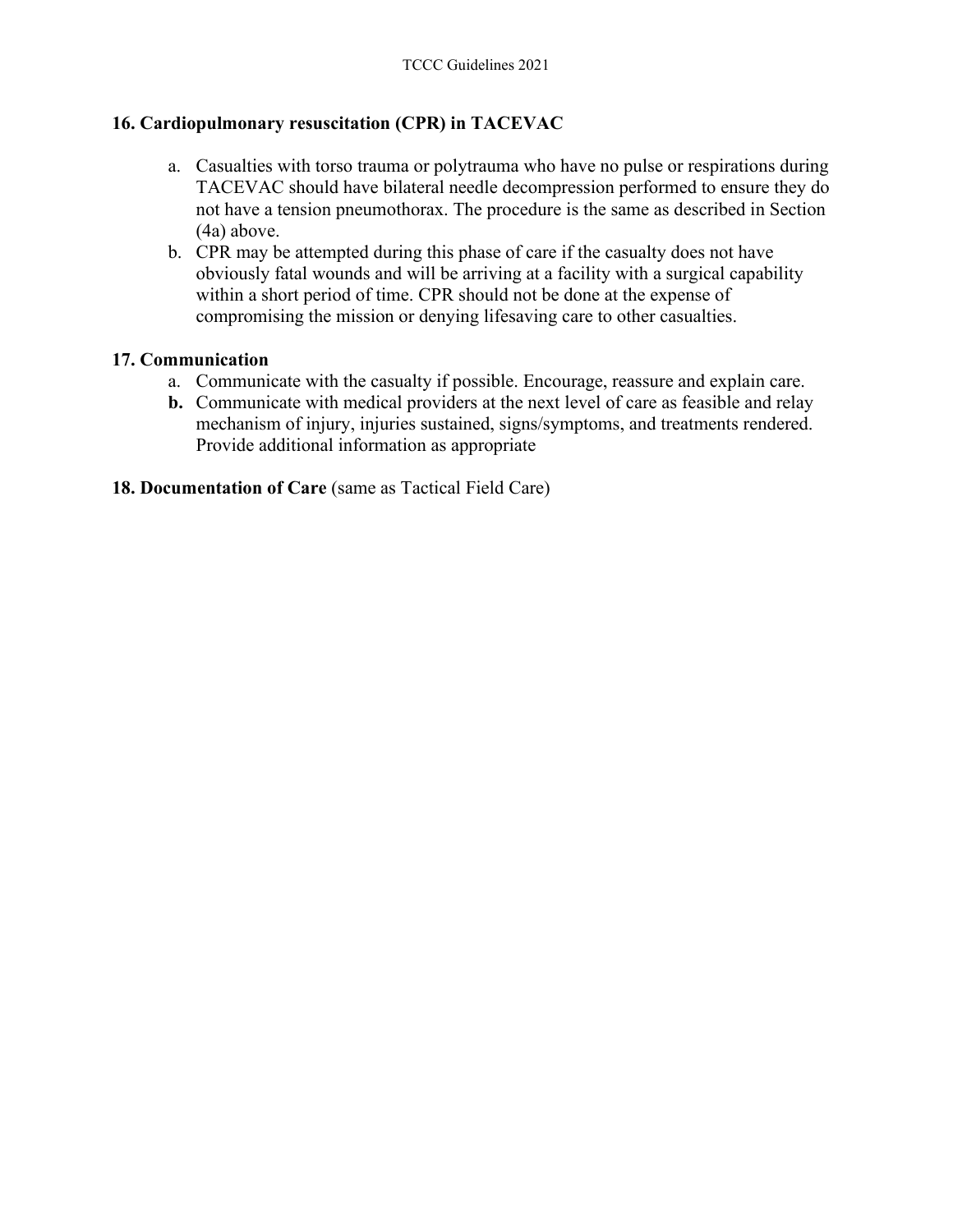#### **16. Cardiopulmonary resuscitation (CPR) in TACEVAC**

- a. Casualties with torso trauma or polytrauma who have no pulse or respirations during TACEVAC should have bilateral needle decompression performed to ensure they do not have a tension pneumothorax. The procedure is the same as described in Section (4a) above.
- b. CPR may be attempted during this phase of care if the casualty does not have obviously fatal wounds and will be arriving at a facility with a surgical capability within a short period of time. CPR should not be done at the expense of compromising the mission or denying lifesaving care to other casualties.

#### **17. Communication**

- a. Communicate with the casualty if possible. Encourage, reassure and explain care.
- **b.** Communicate with medical providers at the next level of care as feasible and relay mechanism of injury, injuries sustained, signs/symptoms, and treatments rendered. Provide additional information as appropriate
- **18. Documentation of Care** (same as Tactical Field Care)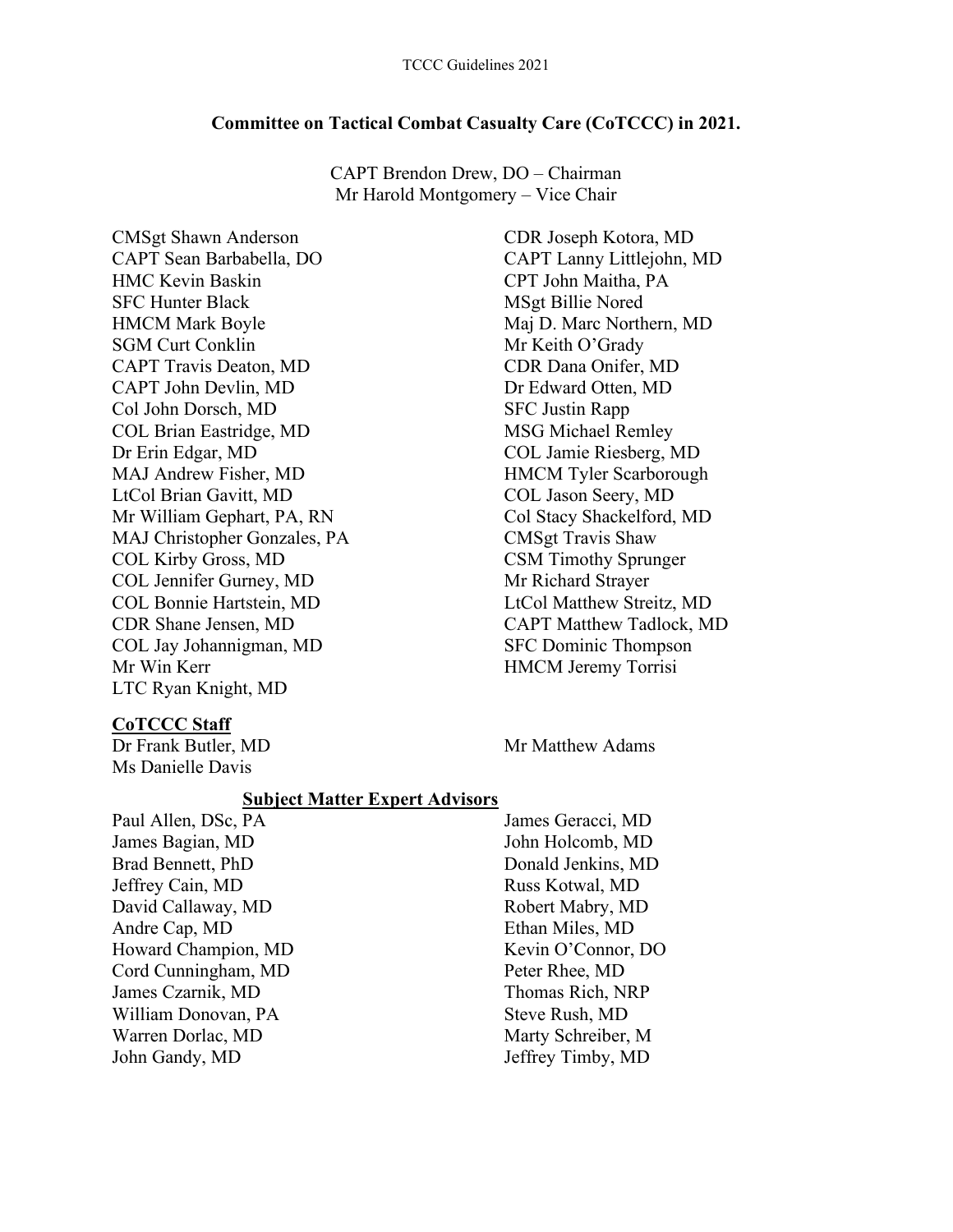#### **Committee on Tactical Combat Casualty Care (CoTCCC) in 2021.**

CAPT Brendon Drew, DO – Chairman Mr Harold Montgomery – Vice Chair

CMSgt Shawn Anderson CAPT Sean Barbabella, DO HMC Kevin Baskin SFC Hunter Black HMCM Mark Boyle SGM Curt Conklin CAPT Travis Deaton, MD CAPT John Devlin, MD Col John Dorsch, MD COL Brian Eastridge, MD Dr Erin Edgar, MD MAJ Andrew Fisher, MD LtCol Brian Gavitt, MD Mr William Gephart, PA, RN MAJ Christopher Gonzales, PA COL Kirby Gross, MD COL Jennifer Gurney, MD COL Bonnie Hartstein, MD CDR Shane Jensen, MD COL Jay Johannigman, MD Mr Win Kerr LTC Ryan Knight, MD

#### CDR Joseph Kotora, MD CAPT Lanny Littlejohn, MD CPT John Maitha, PA MSgt Billie Nored Maj D. Marc Northern, MD Mr Keith O'Grady CDR Dana Onifer, MD Dr Edward Otten, MD SFC Justin Rapp MSG Michael Remley COL Jamie Riesberg, MD HMCM Tyler Scarborough COL Jason Seery, MD Col Stacy Shackelford, MD CMSgt Travis Shaw CSM Timothy Sprunger Mr Richard Strayer LtCol Matthew Streitz, MD CAPT Matthew Tadlock, MD SFC Dominic Thompson HMCM Jeremy Torrisi

Dr Frank Butler, MD Mr Matthew Adams

# **CoTCCC Staff**

Ms Danielle Davis

#### **Subject Matter Expert Advisors**

Paul Allen, DSc, PA James Bagian, MD Brad Bennett, PhD Jeffrey Cain, MD David Callaway, MD Andre Cap, MD Howard Champion, MD Cord Cunningham, MD James Czarnik, MD William Donovan, PA Warren Dorlac, MD John Gandy, MD

James Geracci, MD John Holcomb, MD Donald Jenkins, MD Russ Kotwal, MD Robert Mabry, MD Ethan Miles, MD Kevin O'Connor, DO Peter Rhee, MD Thomas Rich, NRP Steve Rush, MD Marty Schreiber, M Jeffrey Timby, MD